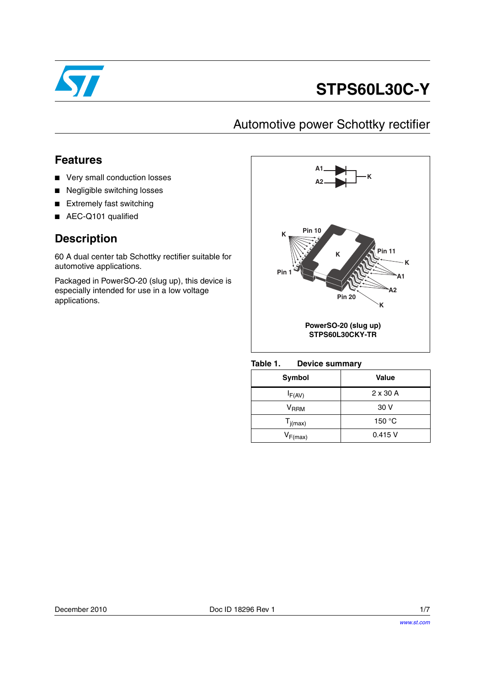

# **STPS60L30C-Y**

## Automotive power Schottky rectifier

### **Features**

- Very small conduction losses
- Negligible switching losses
- Extremely fast switching
- AEC-Q101 qualified

### **Description**

60 A dual center tab Schottky rectifier suitable for automotive applications.

Packaged in PowerSO-20 (slug up), this device is especially intended for use in a low voltage applications.



Table 1. **Device summary** 

| Symbol       | Value           |
|--------------|-----------------|
| $I_{F(AV)}$  | $2 \times 30$ A |
| $V_{RRM}$    | 30 V            |
| $T_{j(max)}$ | 150 $\degree$ C |
| $V_{F(max)}$ | 0.415V          |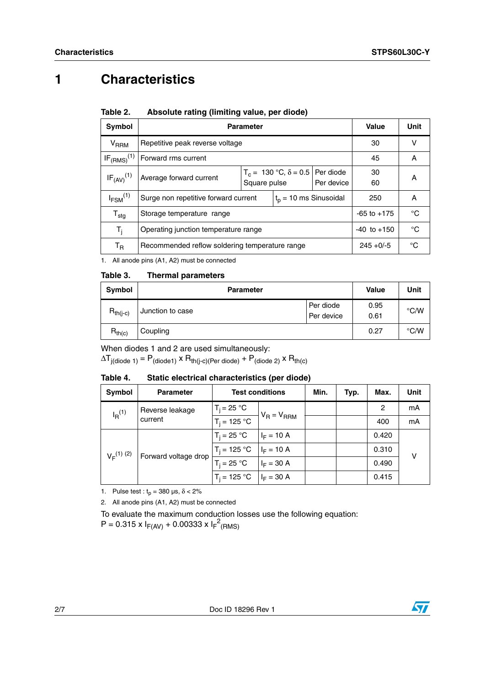## **1 Characteristics**

| Symbol                   | <b>Parameter</b>                                                 | <b>Value</b>                                                               | <b>Unit</b> |  |          |    |
|--------------------------|------------------------------------------------------------------|----------------------------------------------------------------------------|-------------|--|----------|----|
| <b>V<sub>RRM</sub></b>   | Repetitive peak reverse voltage                                  |                                                                            |             |  |          | v  |
| $IF_{(RMS)}^{(1)}$       | Forward rms current                                              |                                                                            |             |  | 45       | А  |
| $IF_{(AV)}^{(1)}$        | Average forward current                                          | $T_c = 130 °C$ , $\delta = 0.5$<br>Per diode<br>Per device<br>Square pulse |             |  | 30<br>60 | A  |
| $I_{FSM}$ <sup>(1)</sup> | Surge non repetitive forward current<br>$t_p = 10$ ms Sinusoidal |                                                                            |             |  | 250      | А  |
| $T_{\text{stg}}$         | Storage temperature range                                        | $-65$ to $+175$                                                            | °C          |  |          |    |
| $T_i$                    | Operating junction temperature range<br>$-40$ to $+150$          |                                                                            |             |  |          | °C |
| T <sub>R</sub>           | $245 + 0/-5$<br>Recommended reflow soldering temperature range   |                                                                            |             |  | °C       |    |

#### Table 2. Absolute rating (limiting value, per diode)

1. All anode pins (A1, A2) must be connected

### **Table 3. Thermal parameters**

| <b>Symbol</b> | <b>Parameter</b> | <b>Value</b>            | Unit         |               |
|---------------|------------------|-------------------------|--------------|---------------|
| $R_{th(j-c)}$ | Junction to case | Per diode<br>Per device | 0.95<br>0.61 | $\degree$ C/W |
| $R_{th(c)}$   | Coupling         |                         | 0.27         | $\degree$ C/W |

When diodes 1 and 2 are used simultaneously:

 $\Delta T_{j(diode 1)} = P_{(diode1)} \times R_{th(j-c)(Per diode)} + P_{(diode 2)} \times R_{th(c)}$ 

#### Table 4. Static electrical characteristics (per diode)

| Symbol                                    | <b>Parameter</b>             | <b>Test conditions</b>       |                 | Min. | Typ.  | Max.  | Unit |
|-------------------------------------------|------------------------------|------------------------------|-----------------|------|-------|-------|------|
| Reverse leakage<br>$I_R^{(1)}$<br>current |                              | $T_i = 25 °C$                | $V_R = V_{RRM}$ |      |       | 2     | mA   |
|                                           | $\overline{T_i}$ = 125 °C    |                              |                 |      | 400   | mA    |      |
| $V_F^{(1)}$ (2)<br>Forward voltage drop   | $T_i = 25 °C$                | $I_F = 10 A$                 |                 |      | 0.420 |       |      |
|                                           | $T_i = 125 °C$ $ I_F = 10 A$ |                              |                 |      | 0.310 | ν     |      |
|                                           | $T_i = 25 °C$                | $I_F = 30 A$                 |                 |      | 0.490 |       |      |
|                                           |                              | $T_i = 125 °C$ $ I_F = 30 A$ |                 |      |       | 0.415 |      |

1. Pulse test :  $t_p = 380 \text{ }\mu\text{s}, \delta < 2\%$ 

2. All anode pins (A1, A2) must be connected

To evaluate the maximum conduction losses use the following equation:

 $P = 0.315 \times I_{F(AV)} + 0.00333 \times I_{F}^{2}$ (RMS)

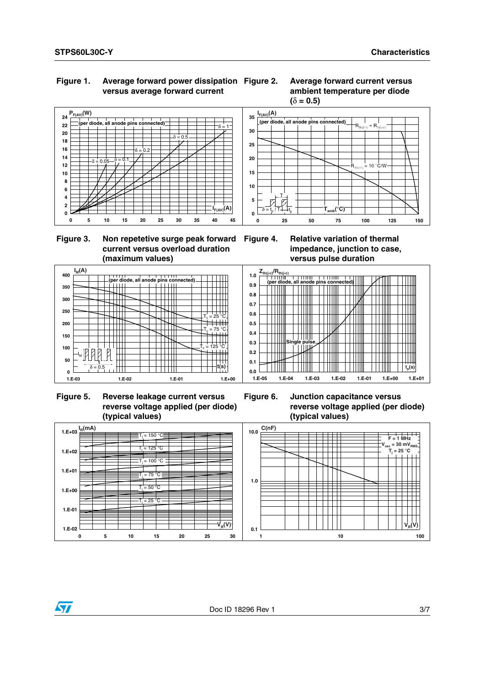### **Figure 1. Average forward power dissipation versus average forward current**





### **Figure 3. Non repetetive surge peak forward current versus overload duration (maximum values)**





 **Figure 5. Reverse leakage current versus reverse voltage applied (per diode) (typical values)**



**Figure 6. Junction capacitance versus reverse voltage applied (per diode) (typical values)**

**1.E-05 1.E-04 1.E-03 1.E-02 1.E-01 1.E+00 1.E+01**



**0.0**



 $\mathbf{t}_\mathrm{p}(\mathbf{s})$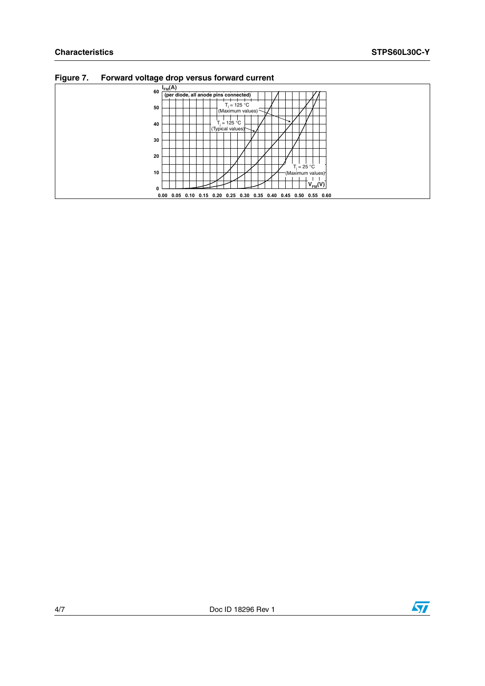|    | - J - - - - - 1                                                  |
|----|------------------------------------------------------------------|
| 60 | $I_{FM}(A)$                                                      |
|    | (per diode, all anode pins connected)                            |
| 50 | $T_i = 125 °C$<br>(Maximum values)                               |
| 40 | $T_i = 125 °C$                                                   |
| 30 | (Typical values)                                                 |
| 20 |                                                                  |
|    | $T_i = 25 °C$                                                    |
| 10 | (Maximum values) <sup>-</sup><br>$V_{FM}(V)$                     |
| 0  |                                                                  |
|    | 0.00 0.05 0.10 0.15 0.20 0.25 0.30 0.35 0.40 0.45 0.50 0.55 0.60 |

**Figure 7. Forward voltage drop versus forward current**

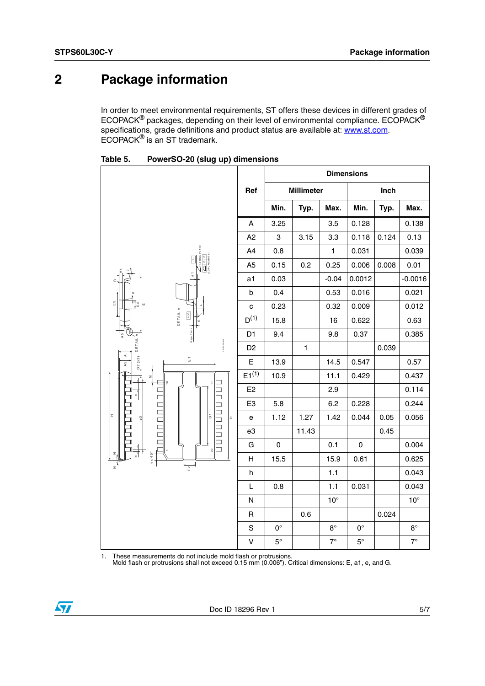## **2 Package information**

In order to meet environmental requirements, ST offers these devices in different grades of ECOPACK® packages, depending on their level of environmental compliance. ECOPACK® specifications, grade definitions and product status are available at: **www.st.com**. ECOPACK® is an ST trademark.

|                                                                                                                                                                                                                                                                                                                                                                                                                                                                             |                | <b>Dimensions</b>   |                   |              |             |       |              |
|-----------------------------------------------------------------------------------------------------------------------------------------------------------------------------------------------------------------------------------------------------------------------------------------------------------------------------------------------------------------------------------------------------------------------------------------------------------------------------|----------------|---------------------|-------------------|--------------|-------------|-------|--------------|
|                                                                                                                                                                                                                                                                                                                                                                                                                                                                             | Ref            |                     | <b>Millimeter</b> |              |             | Inch  |              |
|                                                                                                                                                                                                                                                                                                                                                                                                                                                                             |                | Min.                | Typ.              | Max.         | Min.        | Typ.  | Max.         |
|                                                                                                                                                                                                                                                                                                                                                                                                                                                                             | A              | 3.25                |                   | 3.5          | 0.128       |       | 0.138        |
|                                                                                                                                                                                                                                                                                                                                                                                                                                                                             | A2             | 3                   | 3.15              | 3.3          | 0.118       | 0.124 | 0.13         |
|                                                                                                                                                                                                                                                                                                                                                                                                                                                                             | A4             | 0.8                 |                   | $\mathbf{1}$ | 0.031       |       | 0.039        |
| $\begin{array}{c c c c c c c c} \hline & a & a & b \\ \hline & a & b & c \\ \hline & a & b & d & d \\ \hline & a & b & d & d \\ \hline & a & b & d & d \\ \hline & a & b & d & d \\ \hline & a & b & d & d & d \\ \hline & a & b & d & d & d \\ \hline & a & b & d & d & d \\ \hline & a & b & d & d & d & d \\ \hline & a & b & d & d & d & d \\ \hline & a & b & d & d & d & d \\ \hline & a & b & d & d & d & d \\ \hline & a & b & d & d & d & d \\ \hline & a & b & d$ | A <sub>5</sub> | 0.15                | 0.2               | 0.25         | 0.006       | 0.008 | 0.01         |
| $\overline{\phantom{a}}$                                                                                                                                                                                                                                                                                                                                                                                                                                                    | a1             | 0.03                |                   | $-0.04$      | 0.0012      |       | $-0.0016$    |
|                                                                                                                                                                                                                                                                                                                                                                                                                                                                             | b              | 0.4                 |                   | 0.53         | 0.016       |       | 0.021        |
| $_{\rm E}$ 3<br>有<br>$\omega$                                                                                                                                                                                                                                                                                                                                                                                                                                               | $\mathbf{C}$   | 0.23                |                   | 0.32         | 0.009       |       | 0.012        |
| DETAIL A<br>0.35                                                                                                                                                                                                                                                                                                                                                                                                                                                            | $D^{(1)}$      | 15.8                |                   | 16           | 0.622       |       | 0.63         |
|                                                                                                                                                                                                                                                                                                                                                                                                                                                                             | D <sub>1</sub> | 9.4                 |                   | 9.8          | 0.37        |       | 0.385        |
| <b>DETAILA</b><br>PSO20DME<br>$\prec$                                                                                                                                                                                                                                                                                                                                                                                                                                       | D <sub>2</sub> |                     | $\mathbf{1}$      |              |             | 0.039 |              |
| D2 (x2)<br>$_\mathrm{m}^-$<br>A <sub>2</sub>                                                                                                                                                                                                                                                                                                                                                                                                                                | E              | 13.9                |                   | 14.5         | 0.547       |       | 0.57         |
| 2<br>$\frac{0}{1}$<br>÷.                                                                                                                                                                                                                                                                                                                                                                                                                                                    | $E1^{(1)}$     | 10.9                |                   | 11.1         | 0.429       |       | 0.437        |
|                                                                                                                                                                                                                                                                                                                                                                                                                                                                             | E <sub>2</sub> |                     |                   | 2.9          |             |       | 0.114        |
|                                                                                                                                                                                                                                                                                                                                                                                                                                                                             | E <sub>3</sub> | 5.8                 |                   | 6.2          | 0.228       |       | 0.244        |
| $\overline{\phantom{0}}$<br>I<br>ā<br>63<br>$\mathbf{\Omega}$                                                                                                                                                                                                                                                                                                                                                                                                               | e              | 1.12                | 1.27              | 1.42         | 0.044       | 0.05  | 0.056        |
|                                                                                                                                                                                                                                                                                                                                                                                                                                                                             | e3             |                     | 11.43             |              |             | 0.45  |              |
| $\Box$<br>$\rm ^{\circ}$                                                                                                                                                                                                                                                                                                                                                                                                                                                    | G              | $\mathsf{O}\xspace$ |                   | 0.1          | $\mathsf 0$ |       | 0.004        |
| $h \times 45^\circ$                                                                                                                                                                                                                                                                                                                                                                                                                                                         | Н              | 15.5                |                   | 15.9         | 0.61        |       | 0.625        |
| $E$ 2                                                                                                                                                                                                                                                                                                                                                                                                                                                                       | h              |                     |                   | 1.1          |             |       | 0.043        |
|                                                                                                                                                                                                                                                                                                                                                                                                                                                                             | L              | 0.8                 |                   | 1.1          | 0.031       |       | 0.043        |
|                                                                                                                                                                                                                                                                                                                                                                                                                                                                             | ${\sf N}$      |                     |                   | $10^{\circ}$ |             |       | $10^{\circ}$ |
|                                                                                                                                                                                                                                                                                                                                                                                                                                                                             | $\mathsf R$    |                     | 0.6               |              |             | 0.024 |              |
|                                                                                                                                                                                                                                                                                                                                                                                                                                                                             | $\mathbf S$    | $\mathsf{O}^\circ$  |                   | $8^{\circ}$  | $0^{\circ}$ |       | $8^{\circ}$  |
|                                                                                                                                                                                                                                                                                                                                                                                                                                                                             | $\sf V$        | $5^{\circ}$         |                   | $7^\circ$    | $5^{\circ}$ |       | $7^\circ$    |

Table 5. **Table 5. PowerSO-20 (slug up) dimensions**

1. These measurements do not include mold flash or protrusions. Mold flash or protrusions shall not exceed 0.15 mm (0.006"). Critical dimensions: E, a1, e, and G.

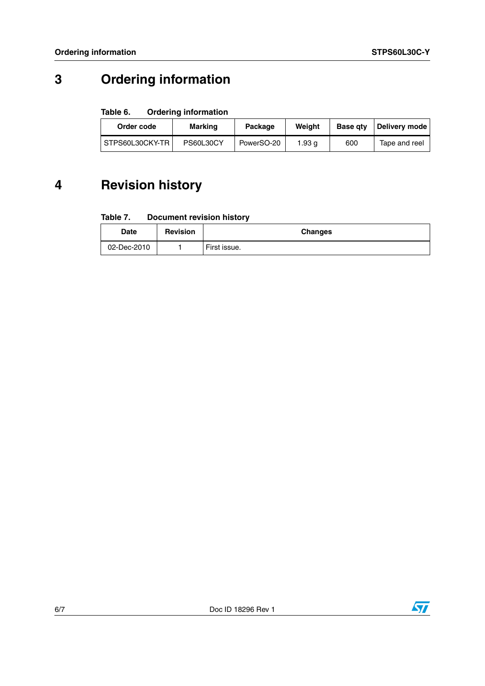## **3 Ordering information**

#### Table 6. **Ordering information**

| Order code      | Marking   | Weiaht<br>Package |        | <b>Base gtv</b> | Deliverv mode |
|-----------------|-----------|-------------------|--------|-----------------|---------------|
| STPS60L30CKY-TR | PS60L30CY | PowerSO-20        | 1.93 g | 600             | Tape and reel |

## **4 Revision history**

#### Table 7. **Document revision history**

| Date        | <b>Revision</b> | <b>Changes</b> |
|-------------|-----------------|----------------|
| 02-Dec-2010 |                 | First issue.   |